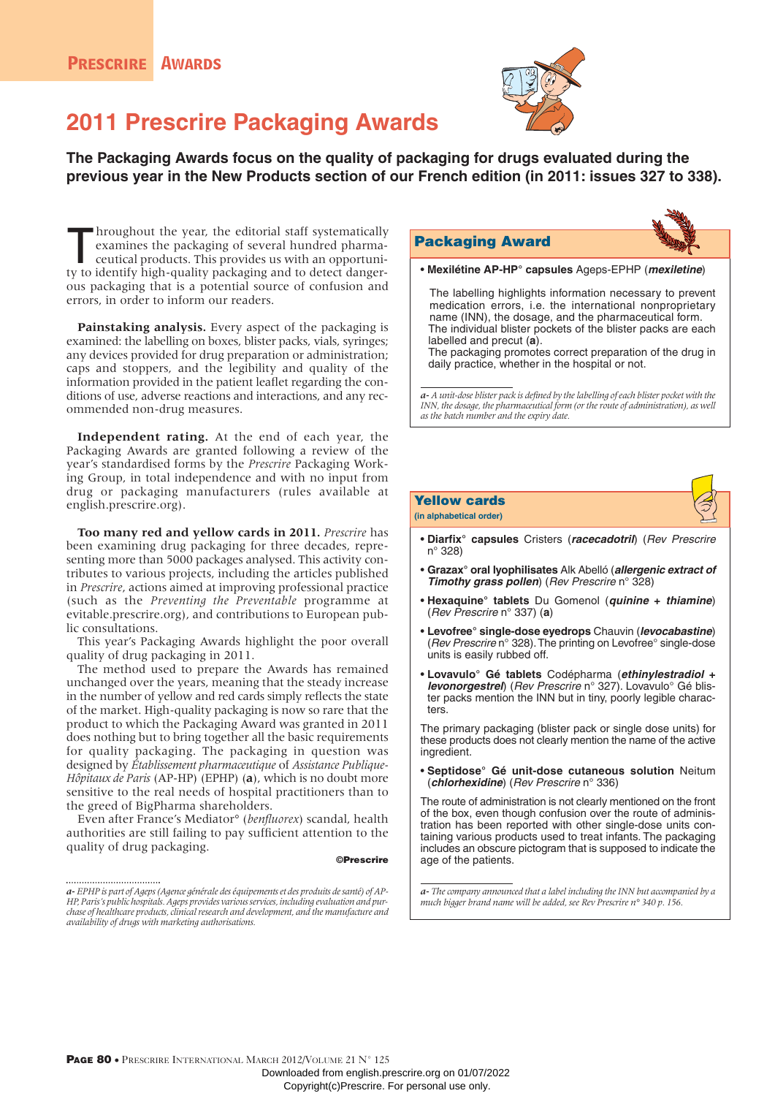

# **2011 Prescrire Packaging Awards**

**The Packaging Awards focus on the quality of packaging for drugs evaluated during the previous year in the New Products section of our French edition (in 2011: issues 327 to 338).**

**Throughout the year, the editorial staff systematically examines the packaging of several hundred pharmaceutical products. This provides us with an opportuni**examines the packaging of several hundred pharmaceutical products. This provides us with an opportunity to identify high-quality packaging and to detect dangerous packaging that is a potential source of confusion and errors, in order to inform our readers.

**Painstaking analysis.** Every aspect of the packaging is examined: the labelling on boxes, blister packs, vials, syringes; any devices provided for drug preparation or administration; caps and stoppers, and the legibility and quality of the information provided in the patient leaflet regarding the conditions of use, adverse reactions and interactions, and any recommended non-drug measures.

**Independent rating.** At the end of each year, the Packaging Awards are granted following a review of the year's standardised forms by the *Prescrire* Packaging Working Group, in total independence and with no input from drug or packaging manufacturers (rules available at english.prescrire.org).

**Too many red and yellow cards in 2011.** *Prescrire* has been examining drug packaging for three decades, representing more than 5000 packages analysed. This activity contributes to various projects, including the articles published in *Prescrire*, actions aimed at improving professional practice (such as the *Preventing the Preventable* programme at evitable.prescrire.org), and contributions to European public consultations.

This year's Packaging Awards highlight the poor overall quality of drug packaging in 2011.

The method used to prepare the Awards has remained unchanged over the years, meaning that the steady increase in the number of yellow and red cards simply reflects the state of the market. High-quality packaging is now so rare that the product to which the Packaging Award was granted in 2011 does nothing but to bring together all the basic requirements for quality packaging. The packaging in question was designed by *Établissement pharmaceutique* of *Assistance Publique-Hôpitaux de Paris* (AP-HP) (EPHP) (**a**), which is no doubt more sensitive to the real needs of hospital practitioners than to the greed of BigPharma shareholders.

Even after France's Mediator° (*benfluorex*) scandal, health authorities are still failing to pay sufficient attention to the quality of drug packaging.

#### ©Prescrire

# Packaging Award



• **Mexilétine AP-HP° capsules** Ageps-EPHP (**mexiletine**)

The labelling highlights information necessary to prevent medication errors, i.e. the international nonproprietary name (INN), the dosage, and the pharmaceutical form. The individual blister pockets of the blister packs are each labelled and precut (**a**).

The packaging promotes correct preparation of the drug in daily practice, whether in the hospital or not.

*a-A unit-dose blister pack is defined by the labelling of each blister pocket with the INN, the dosage, the pharmaceutical form (or the route of administration), as well as the batch number and the expiry date.*

# Yellow cards **(in alphabetical order)**

- **Diarfix° capsules** Cristers (**racecadotril**) (Rev Prescrire n° 328)
- **Grazax° oral lyophilisates** Alk Abelló (**allergenic extract of Timothy grass pollen**) (Rev Prescrire n° 328)
- **Hexaquine° tablets** Du Gomenol (**quinine + thiamine**) (Rev Prescrire n° 337) (**a**)
- **Levofree° single-dose eyedrops** Chauvin (**levocabastine**) (Rev Prescrire n° 328). The printing on Levofree° single-dose units is easily rubbed off.
- **Lovavulo° Gé tablets** Codépharma (**ethinylestradiol + levonorgestrel**) (Rev Prescrire n° 327). Lovavulo° Gé blister packs mention the INN but in tiny, poorly legible characters.

The primary packaging (blister pack or single dose units) for these products does not clearly mention the name of the active ingredient.

• **Septidose° Gé unit-dose cutaneous solution** Neitum (**chlorhexidine**) (Rev Prescrire n° 336)

The route of administration is not clearly mentioned on the front of the box, even though confusion over the route of administration has been reported with other single-dose units containing various products used to treat infants. The packaging includes an obscure pictogram that is supposed to indicate the age of the patients.

*a- The company announced that a label including the INN but accompanied by a much bigger brand name will be added, see Rev Prescrire n° 340 p. 156.*

*a-EPHP is part of Ageps (Agence générale des équipements et des produits de santé) of AP-HP, Paris's public hospitals. Ageps provides various services, including evaluation and purchase of healthcare products, clinical research and development, and the manufacture and availability of drugs with marketing authorisations.*